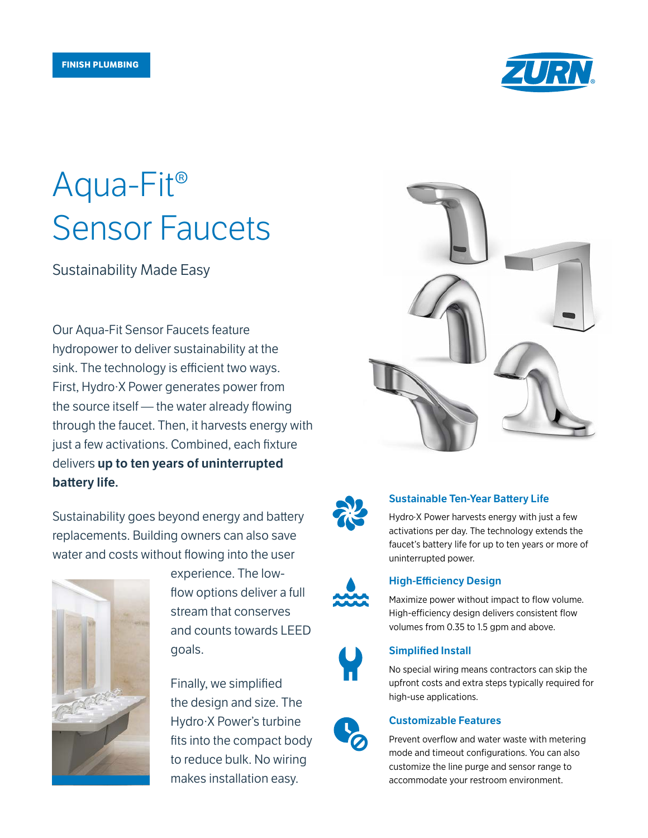

# Aqua-Fit® Sensor Faucets

Sustainability Made Easy

Our Aqua-Fit Sensor Faucets feature hydropower to deliver sustainability at the sink. The technology is efficient two ways. First, Hydro·X Power generates power from the source itself — the water already flowing through the faucet. Then, it harvests energy with just a few activations. Combined, each fixture delivers up to ten years of uninterrupted battery life.

Sustainability goes beyond energy and battery replacements. Building owners can also save water and costs without flowing into the user



experience. The lowflow options deliver a full stream that conserves and counts towards LEED goals.

Finally, we simplified the design and size. The Hydro·X Power's turbine fits into the compact body to reduce bulk. No wiring makes installation easy.





## Sustainable Ten-Year Battery Life

Hydro·X Power harvests energy with just a few activations per day. The technology extends the faucet's battery life for up to ten years or more of uninterrupted power.



## High-Efficiency Design

Maximize power without impact to flow volume. High-efficiency design delivers consistent flow volumes from 0.35 to 1.5 gpm and above.



## Simplified Install

No special wiring means contractors can skip the upfront costs and extra steps typically required for high-use applications.



#### Customizable Features

Prevent overflow and water waste with metering mode and timeout configurations. You can also customize the line purge and sensor range to accommodate your restroom environment.